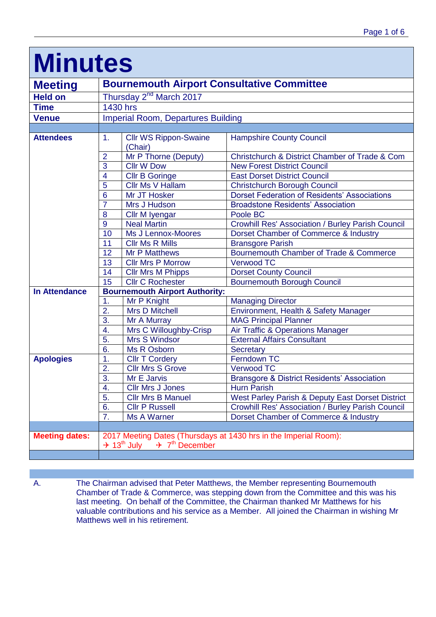| <b>Minutes</b>        |                                                                                                                                     |                                         |                                                                       |  |
|-----------------------|-------------------------------------------------------------------------------------------------------------------------------------|-----------------------------------------|-----------------------------------------------------------------------|--|
| <b>Meeting</b>        | <b>Bournemouth Airport Consultative Committee</b>                                                                                   |                                         |                                                                       |  |
| <b>Held on</b>        |                                                                                                                                     | Thursday 2 <sup>nd</sup> March 2017     |                                                                       |  |
| <b>Time</b>           |                                                                                                                                     | $\overline{1}$ 430 hrs                  |                                                                       |  |
| <b>Venue</b>          | <b>Imperial Room, Departures Building</b>                                                                                           |                                         |                                                                       |  |
|                       |                                                                                                                                     |                                         |                                                                       |  |
| <b>Attendees</b>      | 1.                                                                                                                                  | <b>Cllr WS Rippon-Swaine</b><br>(Chair) | <b>Hampshire County Council</b>                                       |  |
|                       | $\overline{2}$                                                                                                                      | Mr P Thorne (Deputy)                    | Christchurch & District Chamber of Trade & Com                        |  |
|                       | 3                                                                                                                                   | <b>Cllr W Dow</b>                       | <b>New Forest District Council</b>                                    |  |
|                       | $\overline{4}$                                                                                                                      | <b>Cllr B Goringe</b>                   | <b>East Dorset District Council</b>                                   |  |
|                       | 5                                                                                                                                   | Cllr Ms V Hallam                        | <b>Christchurch Borough Council</b>                                   |  |
|                       | 6                                                                                                                                   | Mr JT Hosker                            | <b>Dorset Federation of Residents' Associations</b>                   |  |
|                       | $\overline{7}$                                                                                                                      | Mrs J Hudson                            | <b>Broadstone Residents' Association</b>                              |  |
|                       | 8                                                                                                                                   | Cllr M Iyengar                          | Poole BC                                                              |  |
|                       | 9                                                                                                                                   | <b>Neal Martin</b>                      | Crowhill Res' Association / Burley Parish Council                     |  |
|                       | 10                                                                                                                                  | Ms J Lennox-Moores                      | Dorset Chamber of Commerce & Industry                                 |  |
|                       | 11                                                                                                                                  | <b>Cllr Ms R Mills</b>                  | <b>Bransgore Parish</b>                                               |  |
|                       | 12                                                                                                                                  | <b>Mr P Matthews</b>                    | Bournemouth Chamber of Trade & Commerce                               |  |
|                       | 13                                                                                                                                  | <b>Cllr Mrs P Morrow</b>                | <b>Verwood TC</b>                                                     |  |
|                       | 14                                                                                                                                  | <b>Cllr Mrs M Phipps</b>                | <b>Dorset County Council</b>                                          |  |
|                       | 15                                                                                                                                  | <b>Cllr C Rochester</b>                 | <b>Bournemouth Borough Council</b>                                    |  |
| <b>In Attendance</b>  | <b>Bournemouth Airport Authority:</b>                                                                                               |                                         |                                                                       |  |
|                       | 1.                                                                                                                                  | Mr P Knight                             | <b>Managing Director</b>                                              |  |
|                       | 2.                                                                                                                                  | <b>Mrs D Mitchell</b>                   | Environment, Health & Safety Manager                                  |  |
|                       | 3.                                                                                                                                  | Mr A Murray                             | <b>MAG Principal Planner</b>                                          |  |
|                       | 4.                                                                                                                                  | Mrs C Willoughby-Crisp                  | Air Traffic & Operations Manager                                      |  |
|                       | 5.                                                                                                                                  | <b>Mrs S Windsor</b>                    | <b>External Affairs Consultant</b>                                    |  |
|                       | 6.                                                                                                                                  | Ms R Osborn                             | <b>Secretary</b><br>Ferndown TC                                       |  |
| <b>Apologies</b>      | 1.                                                                                                                                  | <b>CIIr T Cordery</b>                   |                                                                       |  |
|                       | 2.<br>$\overline{3}$ .                                                                                                              | <b>Cllr Mrs S Grove</b>                 | <b>Verwood TC</b>                                                     |  |
|                       | 4.                                                                                                                                  | Mr E Jarvis<br><b>Cllr Mrs J Jones</b>  | <b>Bransgore &amp; District Residents' Association</b><br>Hurn Parish |  |
|                       | 5.                                                                                                                                  | <b>Cllr Mrs B Manuel</b>                | West Parley Parish & Deputy East Dorset District                      |  |
|                       | 6.                                                                                                                                  | <b>Cllr P Russell</b>                   | <b>Crowhill Res' Association / Burley Parish Council</b>              |  |
|                       | 7.                                                                                                                                  | <b>Ms A Warner</b>                      | Dorset Chamber of Commerce & Industry                                 |  |
|                       |                                                                                                                                     |                                         |                                                                       |  |
| <b>Meeting dates:</b> | 2017 Meeting Dates (Thursdays at 1430 hrs in the Imperial Room):<br>$\div$ 7 <sup>th</sup> December<br>$\div$ 13 <sup>th</sup> July |                                         |                                                                       |  |
|                       |                                                                                                                                     |                                         |                                                                       |  |

Г

A. The Chairman advised that Peter Matthews, the Member representing Bournemouth Chamber of Trade & Commerce, was stepping down from the Committee and this was his last meeting. On behalf of the Committee, the Chairman thanked Mr Matthews for his valuable contributions and his service as a Member. All joined the Chairman in wishing Mr Matthews well in his retirement.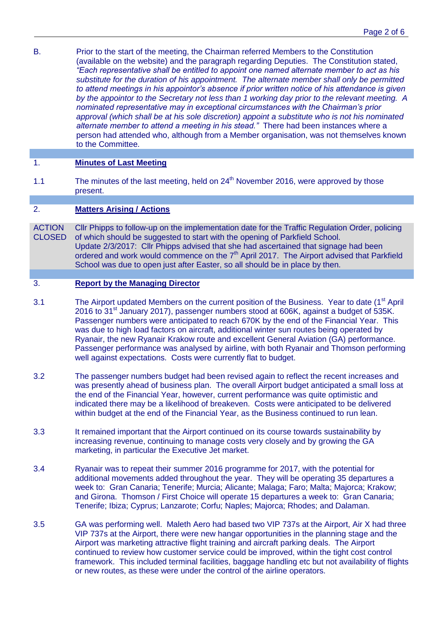B. Prior to the start of the meeting, the Chairman referred Members to the Constitution (available on the website) and the paragraph regarding Deputies. The Constitution stated, *"Each representative shall be entitled to appoint one named alternate member to act as his substitute for the duration of his appointment. The alternate member shall only be permitted to attend meetings in his appointor's absence if prior written notice of his attendance is given by the appointor to the Secretary not less than 1 working day prior to the relevant meeting. A nominated representative may in exceptional circumstances with the Chairman's prior approval (which shall be at his sole discretion) appoint a substitute who is not his nominated alternate member to attend a meeting in his stead."* There had been instances where a person had attended who, although from a Member organisation, was not themselves known to the Committee.

# 1. **Minutes of Last Meeting**

1.1 The minutes of the last meeting, held on  $24<sup>th</sup>$  November 2016, were approved by those present.

### 2. **Matters Arising / Actions**

**ACTION** CLOSED Cllr Phipps to follow-up on the implementation date for the Traffic Regulation Order, policing of which should be suggested to start with the opening of Parkfield School. Update 2/3/2017: Cllr Phipps advised that she had ascertained that signage had been ordered and work would commence on the  $7<sup>th</sup>$  April 2017. The Airport advised that Parkfield School was due to open just after Easter, so all should be in place by then.

#### 3. **Report by the Managing Director**

- 3.1 The Airport updated Members on the current position of the Business. Year to date (1<sup>st</sup> April 2016 to 31<sup>st</sup> January 2017), passenger numbers stood at 606K, against a budget of 535K. Passenger numbers were anticipated to reach 670K by the end of the Financial Year. This was due to high load factors on aircraft, additional winter sun routes being operated by Ryanair, the new Ryanair Krakow route and excellent General Aviation (GA) performance. Passenger performance was analysed by airline, with both Ryanair and Thomson performing well against expectations. Costs were currently flat to budget.
- 3.2 The passenger numbers budget had been revised again to reflect the recent increases and was presently ahead of business plan. The overall Airport budget anticipated a small loss at the end of the Financial Year, however, current performance was quite optimistic and indicated there may be a likelihood of breakeven. Costs were anticipated to be delivered within budget at the end of the Financial Year, as the Business continued to run lean.
- 3.3 It remained important that the Airport continued on its course towards sustainability by increasing revenue, continuing to manage costs very closely and by growing the GA marketing, in particular the Executive Jet market.
- 3.4 Ryanair was to repeat their summer 2016 programme for 2017, with the potential for additional movements added throughout the year. They will be operating 35 departures a week to: Gran Canaria; Tenerife; Murcia; Alicante; Malaga; Faro; Malta; Majorca; Krakow; and Girona. Thomson / First Choice will operate 15 departures a week to: Gran Canaria; Tenerife; Ibiza; Cyprus; Lanzarote; Corfu; Naples; Majorca; Rhodes; and Dalaman.
- 3.5 GA was performing well. Maleth Aero had based two VIP 737s at the Airport, Air X had three VIP 737s at the Airport, there were new hangar opportunities in the planning stage and the Airport was marketing attractive flight training and aircraft parking deals. The Airport continued to review how customer service could be improved, within the tight cost control framework. This included terminal facilities, baggage handling etc but not availability of flights or new routes, as these were under the control of the airline operators.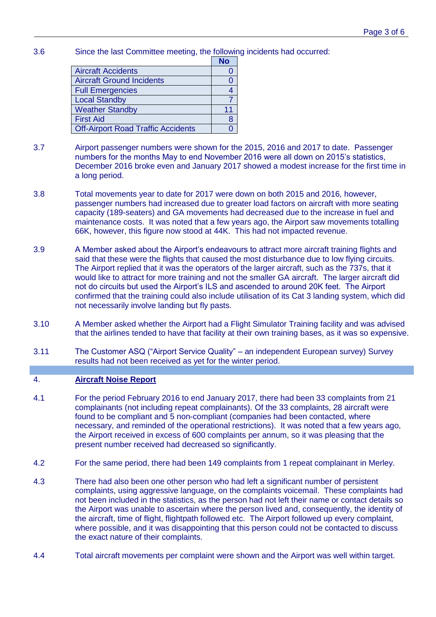3.6 Since the last Committee meeting, the following incidents had occurred:

|                                           | <b>No</b> |
|-------------------------------------------|-----------|
| <b>Aircraft Accidents</b>                 |           |
| <b>Aircraft Ground Incidents</b>          |           |
| <b>Full Emergencies</b>                   |           |
| <b>Local Standby</b>                      |           |
| <b>Weather Standby</b>                    | 11        |
| <b>First Aid</b>                          | 8         |
| <b>Off-Airport Road Traffic Accidents</b> |           |

- 3.7 Airport passenger numbers were shown for the 2015, 2016 and 2017 to date. Passenger numbers for the months May to end November 2016 were all down on 2015's statistics, December 2016 broke even and January 2017 showed a modest increase for the first time in a long period.
- 3.8 Total movements year to date for 2017 were down on both 2015 and 2016, however, passenger numbers had increased due to greater load factors on aircraft with more seating capacity (189-seaters) and GA movements had decreased due to the increase in fuel and maintenance costs. It was noted that a few years ago, the Airport saw movements totalling 66K, however, this figure now stood at 44K. This had not impacted revenue.
- 3.9 A Member asked about the Airport's endeavours to attract more aircraft training flights and said that these were the flights that caused the most disturbance due to low flying circuits. The Airport replied that it was the operators of the larger aircraft, such as the 737s, that it would like to attract for more training and not the smaller GA aircraft. The larger aircraft did not do circuits but used the Airport's ILS and ascended to around 20K feet. The Airport confirmed that the training could also include utilisation of its Cat 3 landing system, which did not necessarily involve landing but fly pasts.
- 3.10 A Member asked whether the Airport had a Flight Simulator Training facility and was advised that the airlines tended to have that facility at their own training bases, as it was so expensive.
- 3.11 The Customer ASQ ("Airport Service Quality" an independent European survey) Survey results had not been received as yet for the winter period.

## 4. **Aircraft Noise Report**

- 4.1 For the period February 2016 to end January 2017, there had been 33 complaints from 21 complainants (not including repeat complainants). Of the 33 complaints, 28 aircraft were found to be compliant and 5 non-compliant (companies had been contacted, where necessary, and reminded of the operational restrictions). It was noted that a few years ago, the Airport received in excess of 600 complaints per annum, so it was pleasing that the present number received had decreased so significantly.
- 4.2 For the same period, there had been 149 complaints from 1 repeat complainant in Merley.
- 4.3 There had also been one other person who had left a significant number of persistent complaints, using aggressive language, on the complaints voicemail. These complaints had not been included in the statistics, as the person had not left their name or contact details so the Airport was unable to ascertain where the person lived and, consequently, the identity of the aircraft, time of flight, flightpath followed etc. The Airport followed up every complaint, where possible, and it was disappointing that this person could not be contacted to discuss the exact nature of their complaints.
- 4.4 Total aircraft movements per complaint were shown and the Airport was well within target.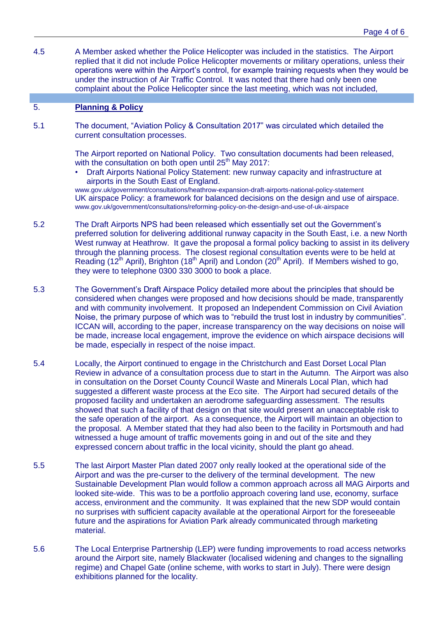4.5 A Member asked whether the Police Helicopter was included in the statistics. The Airport replied that it did not include Police Helicopter movements or military operations, unless their operations were within the Airport's control, for example training requests when they would be under the instruction of Air Traffic Control. It was noted that there had only been one complaint about the Police Helicopter since the last meeting, which was not included,

## 5. **Planning & Policy**

5.1 The document, "Aviation Policy & Consultation 2017" was circulated which detailed the current consultation processes.

> The Airport reported on National Policy. Two consultation documents had been released, with the consultation on both open until 25<sup>th</sup> May 2017:

• Draft Airports National Policy Statement: new runway capacity and infrastructure at airports in the South East of England.

www.gov.uk/government/consultations/heathrow-expansion-draft-airports-national-policy-statement UK airspace Policy: a framework for balanced decisions on the design and use of airspace. www.gov.uk/government/consultations/reforming-policy-on-the-design-and-use-of-uk-airspace

- 5.2 The Draft Airports NPS had been released which essentially set out the Government's preferred solution for delivering additional runway capacity in the South East, i.e. a new North West runway at Heathrow. It gave the proposal a formal policy backing to assist in its delivery through the planning process. The closest regional consultation events were to be held at Reading (12<sup>th</sup> April), Brighton (18<sup>th</sup> April) and London (20<sup>th</sup> April). If Members wished to go, they were to telephone 0300 330 3000 to book a place.
- 5.3 The Government's Draft Airspace Policy detailed more about the principles that should be considered when changes were proposed and how decisions should be made, transparently and with community involvement. It proposed an Independent Commission on Civil Aviation Noise, the primary purpose of which was to "rebuild the trust lost in industry by communities". ICCAN will, according to the paper, increase transparency on the way decisions on noise will be made, increase local engagement, improve the evidence on which airspace decisions will be made, especially in respect of the noise impact.
- 5.4 Locally, the Airport continued to engage in the Christchurch and East Dorset Local Plan Review in advance of a consultation process due to start in the Autumn. The Airport was also in consultation on the Dorset County Council Waste and Minerals Local Plan, which had suggested a different waste process at the Eco site. The Airport had secured details of the proposed facility and undertaken an aerodrome safeguarding assessment. The results showed that such a facility of that design on that site would present an unacceptable risk to the safe operation of the airport. As a consequence, the Airport will maintain an objection to the proposal. A Member stated that they had also been to the facility in Portsmouth and had witnessed a huge amount of traffic movements going in and out of the site and they expressed concern about traffic in the local vicinity, should the plant go ahead.
- 5.5 The last Airport Master Plan dated 2007 only really looked at the operational side of the Airport and was the pre-curser to the delivery of the terminal development. The new Sustainable Development Plan would follow a common approach across all MAG Airports and looked site-wide. This was to be a portfolio approach covering land use, economy, surface access, environment and the community. It was explained that the new SDP would contain no surprises with sufficient capacity available at the operational Airport for the foreseeable future and the aspirations for Aviation Park already communicated through marketing material.
- 5.6 The Local Enterprise Partnership (LEP) were funding improvements to road access networks around the Airport site, namely Blackwater (localised widening and changes to the signalling regime) and Chapel Gate (online scheme, with works to start in July). There were design exhibitions planned for the locality.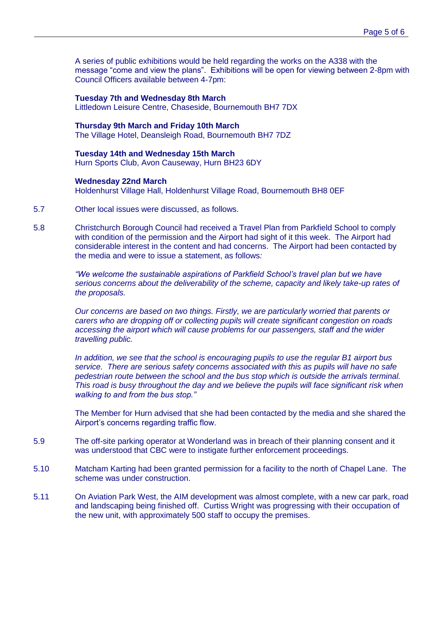A series of public exhibitions would be held regarding the works on the A338 with the message "come and view the plans". Exhibitions will be open for viewing between 2-8pm with Council Officers available between 4-7pm:

**Tuesday 7th and Wednesday 8th March** Littledown Leisure Centre, Chaseside, Bournemouth BH7 7DX

**Thursday 9th March and Friday 10th March** The Village Hotel, Deansleigh Road, Bournemouth BH7 7DZ

**Tuesday 14th and Wednesday 15th March** Hurn Sports Club, Avon Causeway, Hurn BH23 6DY

#### **Wednesday 22nd March**

Holdenhurst Village Hall, Holdenhurst Village Road, Bournemouth BH8 0EF

- 5.7 Other local issues were discussed, as follows.
- 5.8 Christchurch Borough Council had received a Travel Plan from Parkfield School to comply with condition of the permission and the Airport had sight of it this week. The Airport had considerable interest in the content and had concerns. The Airport had been contacted by the media and were to issue a statement, as follows*:*

*"We welcome the sustainable aspirations of Parkfield School's travel plan but we have serious concerns about the deliverability of the scheme, capacity and likely take-up rates of the proposals.*

*Our concerns are based on two things. Firstly, we are particularly worried that parents or carers who are dropping off or collecting pupils will create significant congestion on roads accessing the airport which will cause problems for our passengers, staff and the wider travelling public.*

*In addition, we see that the school is encouraging pupils to use the regular B1 airport bus service. There are serious safety concerns associated with this as pupils will have no safe pedestrian route between the school and the bus stop which is outside the arrivals terminal. This road is busy throughout the day and we believe the pupils will face significant risk when walking to and from the bus stop."* 

The Member for Hurn advised that she had been contacted by the media and she shared the Airport's concerns regarding traffic flow.

- 5.9 The off-site parking operator at Wonderland was in breach of their planning consent and it was understood that CBC were to instigate further enforcement proceedings.
- 5.10 Matcham Karting had been granted permission for a facility to the north of Chapel Lane. The scheme was under construction.
- 5.11 On Aviation Park West, the AIM development was almost complete, with a new car park, road and landscaping being finished off. Curtiss Wright was progressing with their occupation of the new unit, with approximately 500 staff to occupy the premises.